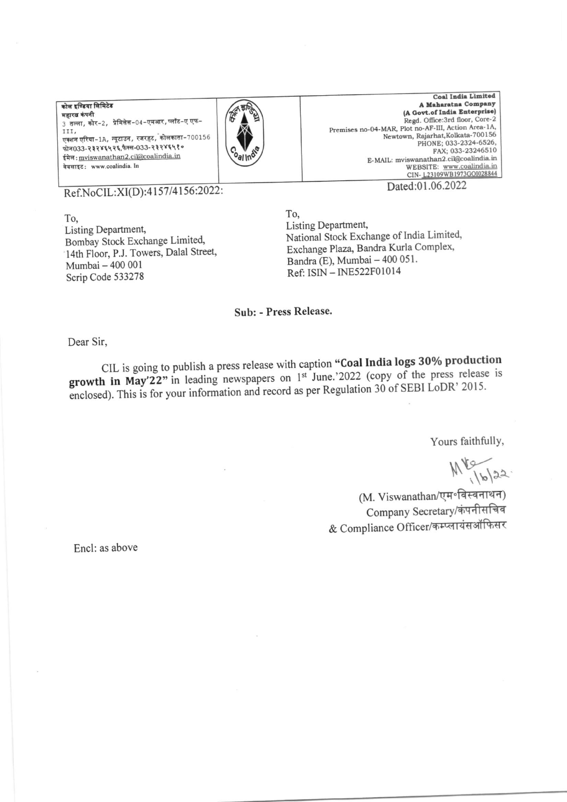कोल इण्डिया लिमिटेड महारत्न कंपनी .<br>3 तल्ला, कोर-2, प्रेमिसेस-04-एमआर, प्लॉट-ए एफ-III, एक्शन एरिया-1A, न्यूटाउन, रजरहट, कोलकाता-700156 फोन033-२३२४६५२६,फैक्स-033-२३२४६५१० ईमेल: mviswanathan2.ci@coalindia.in वेबसाइट: www.coalindia. In



**Coal India Limited** A Maharatna Company (A Govt.of India Enterprise) Regd. Office:3rd floor, Core-2 Premises no-04-MAR, Plot no-AF-III, Action Area-1A, Newtown, Rajarhat, Kolkata-700156 PHONE; 033-2324-6526, FAX: 033-23246510 E-MAIL: mviswanathan2.cil@coalindia.in WEBSITE: www.coalindia.in<br>CIN-L23109WB1973GOI028844

Ref.NoCIL:XI(D):4157/4156:2022:

To, Listing Department, Bombay Stock Exchange Limited, 14th Floor, P.J. Towers, Dalal Street, Mumbai - 400 001 Scrip Code 533278

Dated:01.06.2022

To, Listing Department, National Stock Exchange of India Limited, Exchange Plaza, Bandra Kurla Complex, Bandra (E), Mumbai - 400 051. Ref: ISIN - INE522F01014

## Sub: - Press Release.

Dear Sir,

CIL is going to publish a press release with caption "Coal India logs 30% production growth in May'22" in leading newspapers on 1st June.'2022 (copy of the press release is enclosed). This is for your information and record as per Regulation 30 of SEBI LoDR' 2015.

Yours faithfully,

 $M_{16/22}^{16/22}$ 

(M. Viswanathan/एम॰विस्वनाथन) Company Secretary/कंपनीसचिव & Compliance Officer/कम्प्लायंसऑफिसर

Encl: as above